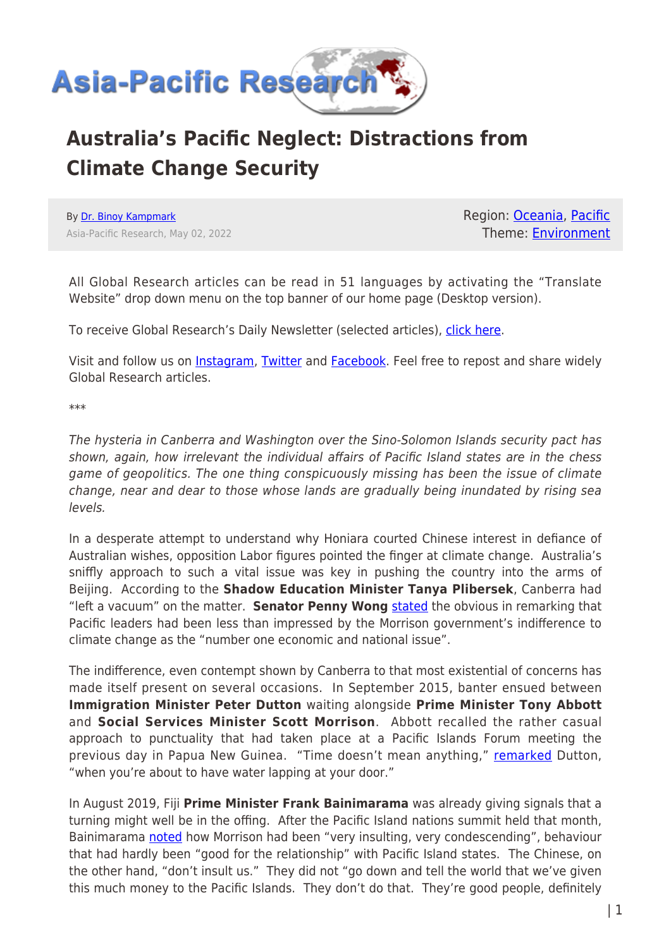

## **Australia's Pacific Neglect: Distractions from Climate Change Security**

By [Dr. Binoy Kampmark](https://www.asia-pacificresearch.com/author/binoy-kampmark) Asia-Pacific Research, May 02, 2022 Region: [Oceania,](https://www.asia-pacificresearch.com/region/as-oceania) [Pacific](https://www.asia-pacificresearch.com/region/pacific) Theme: [Environment](https://www.asia-pacificresearch.com/theme/environment)

All Global Research articles can be read in 51 languages by activating the "Translate Website" drop down menu on the top banner of our home page (Desktop version).

To receive Global Research's Daily Newsletter (selected articles), [click here.](https://lp.constantcontactpages.com/su/IJiNQuW?EMAIL=&go.x=0&go.y=0&go=GO)

Visit and follow us on *[Instagram](https://www.instagram.com/globalresearch_crg/)*, [Twitter](https://twitter.com/CrGlobalization) and [Facebook.](https://www.facebook.com/Global-Research-109788198342383) Feel free to repost and share widely Global Research articles.

\*\*\*

The hysteria in Canberra and Washington over the Sino-Solomon Islands security pact has shown, again, how irrelevant the individual affairs of Pacific Island states are in the chess game of geopolitics. The one thing conspicuously missing has been the issue of climate change, near and dear to those whose lands are gradually being inundated by rising sea levels.

In a desperate attempt to understand why Honiara courted Chinese interest in defiance of Australian wishes, opposition Labor figures pointed the finger at climate change. Australia's sniffly approach to such a vital issue was key in pushing the country into the arms of Beijing. According to the **Shadow Education Minister Tanya Plibersek**, Canberra had "left a vacuum" on the matter. **Senator Penny Wong** [stated](https://www.skynews.com.au/australia-news/politics/labor-accuses-coalition-of-ignoring-pacific-climate-concerns-but-dismisses-chinas-influence-on-global-emissions/news-story/50e23c3bb47f0b31179bec321d77271e) the obvious in remarking that Pacific leaders had been less than impressed by the Morrison government's indifference to climate change as the "number one economic and national issue".

The indifference, even contempt shown by Canberra to that most existential of concerns has made itself present on several occasions. In September 2015, banter ensued between **Immigration Minister Peter Dutton** waiting alongside **Prime Minister Tony Abbott** and **Social Services Minister Scott Morrison**. Abbott recalled the rather casual approach to punctuality that had taken place at a Pacific Islands Forum meeting the previous day in Papua New Guinea. "Time doesn't mean anything," [remarked](https://www.afr.com/politics/federal/morrison-overtaken-by-the-lapping-tide-of-events-20220324-p5a7gu) Dutton, "when you're about to have water lapping at your door."

In August 2019, Fiji **Prime Minister Frank Bainimarama** was already giving signals that a turning might well be in the offing. After the Pacific Island nations summit held that month, Bainimarama [noted](https://www.reuters.com/article/us-pacific-forum-australia-fiji-idUSKCN1V7047) how Morrison had been "very insulting, very condescending", behaviour that had hardly been "good for the relationship" with Pacific Island states. The Chinese, on the other hand, "don't insult us." They did not "go down and tell the world that we've given this much money to the Pacific Islands. They don't do that. They're good people, definitely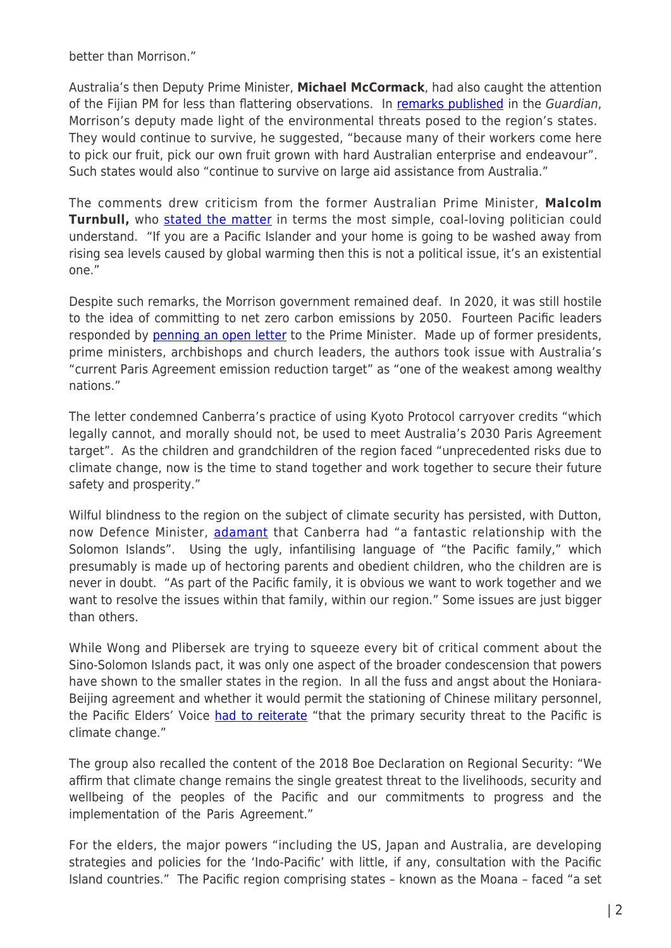better than Morrison."

Australia's then Deputy Prime Minister, **Michael McCormack**, had also caught the attention of the Fijian PM for less than flattering observations. In [remarks published](https://www.theguardian.com/australia-news/2019/aug/16/pacific-islands-will-survive-climate-crisis-because-they-can-pick-our-fruit-australias-deputy-pm-says) in the Guardian, Morrison's deputy made light of the environmental threats posed to the region's states. They would continue to survive, he suggested, "because many of their workers come here to pick our fruit, pick our own fruit grown with hard Australian enterprise and endeavour". Such states would also "continue to survive on large aid assistance from Australia."

The comments drew criticism from the former Australian Prime Minister, **Malcolm Turnbull,** who [stated the matter](https://www.theguardian.com/australia-news/2019/aug/16/pacific-islands-will-survive-climate-crisis-because-they-can-pick-our-fruit-australias-deputy-pm-says) in terms the most simple, coal-loving politician could understand. "If you are a Pacific Islander and your home is going to be washed away from rising sea levels caused by global warming then this is not a political issue, it's an existential one."

Despite such remarks, the Morrison government remained deaf. In 2020, it was still hostile to the idea of committing to net zero carbon emissions by 2050. Fourteen Pacific leaders responded by [penning an open letter](https://www.theguardian.com/world/2020/dec/01/pacific-leaders-condemn-australias-weak-climate-target-in-open-letter-to-scott-morrison) to the Prime Minister. Made up of former presidents, prime ministers, archbishops and church leaders, the authors took issue with Australia's "current Paris Agreement emission reduction target" as "one of the weakest among wealthy nations."

The letter condemned Canberra's practice of using Kyoto Protocol carryover credits "which legally cannot, and morally should not, be used to meet Australia's 2030 Paris Agreement target". As the children and grandchildren of the region faced "unprecedented risks due to climate change, now is the time to stand together and work together to secure their future safety and prosperity."

Wilful blindness to the region on the subject of climate security has persisted, with Dutton, now Defence Minister, [adamant](https://www.afr.com/politics/federal/morrison-overtaken-by-the-lapping-tide-of-events-20220324-p5a7gu) that Canberra had "a fantastic relationship with the Solomon Islands". Using the ugly, infantilising language of "the Pacific family," which presumably is made up of hectoring parents and obedient children, who the children are is never in doubt. "As part of the Pacific family, it is obvious we want to work together and we want to resolve the issues within that family, within our region." Some issues are just bigger than others.

While Wong and Plibersek are trying to squeeze every bit of critical comment about the Sino-Solomon Islands pact, it was only one aspect of the broader condescension that powers have shown to the smaller states in the region. In all the fuss and angst about the Honiara-Beijing agreement and whether it would permit the stationing of Chinese military personnel, the Pacific Elders' Voice [had to reiterate](https://pina.com.fj/2022/04/29/pacific-elders-voice-statement-on-climate-security/) "that the primary security threat to the Pacific is climate change."

The group also recalled the content of the 2018 Boe Declaration on Regional Security: "We affirm that climate change remains the single greatest threat to the livelihoods, security and wellbeing of the peoples of the Pacific and our commitments to progress and the implementation of the Paris Agreement."

For the elders, the major powers "including the US, Japan and Australia, are developing strategies and policies for the 'Indo-Pacific' with little, if any, consultation with the Pacific Island countries." The Pacific region comprising states – known as the Moana – faced "a set